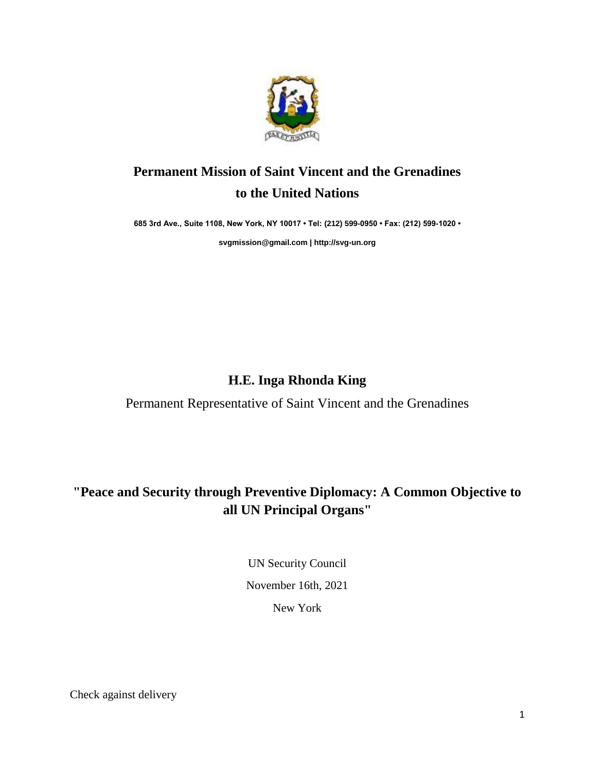

# **Permanent Mission of Saint Vincent and the Grenadines to the United Nations**

**685 3rd Ave., Suite 1108, New York, NY 10017 • Tel: (212) 599-0950 • Fax: (212) 599-1020 •** 

**[svgmission@gmail.com](mailto:svgmission@gmail.com) [| http://svg-un.org](http://svg-un.org/)**

## **H.E. Inga Rhonda King**

Permanent Representative of Saint Vincent and the Grenadines

# **"Peace and Security through Preventive Diplomacy: A Common Objective to all UN Principal Organs"**

UN Security Council November 16th, 2021 New York

Check against delivery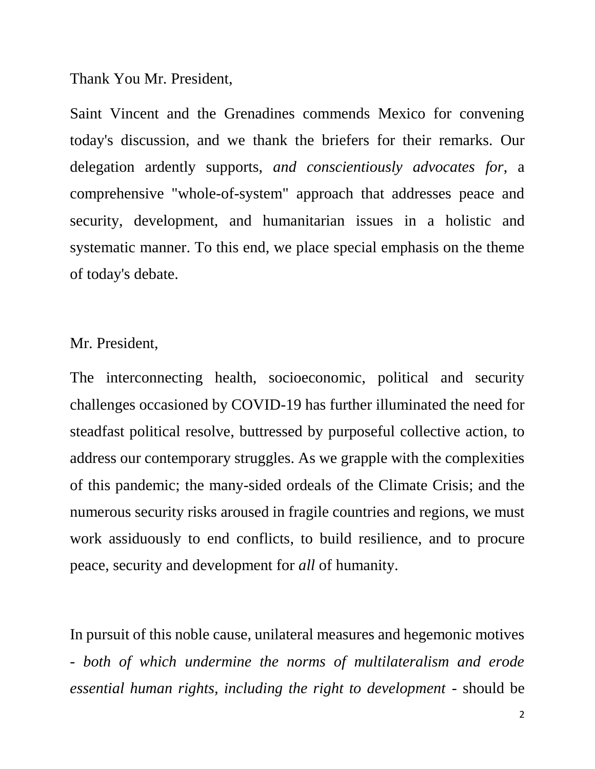#### Thank You Mr. President,

Saint Vincent and the Grenadines commends Mexico for convening today's discussion, and we thank the briefers for their remarks. Our delegation ardently supports, *and conscientiously advocates for*, a comprehensive "whole-of-system" approach that addresses peace and security, development, and humanitarian issues in a holistic and systematic manner. To this end, we place special emphasis on the theme of today's debate.

### Mr. President,

The interconnecting health, socioeconomic, political and security challenges occasioned by COVID-19 has further illuminated the need for steadfast political resolve, buttressed by purposeful collective action, to address our contemporary struggles. As we grapple with the complexities of this pandemic; the many-sided ordeals of the Climate Crisis; and the numerous security risks aroused in fragile countries and regions, we must work assiduously to end conflicts, to build resilience, and to procure peace, security and development for *all* of humanity.

In pursuit of this noble cause, unilateral measures and hegemonic motives - *both of which undermine the norms of multilateralism and erode essential human rights, including the right to development -* should be

2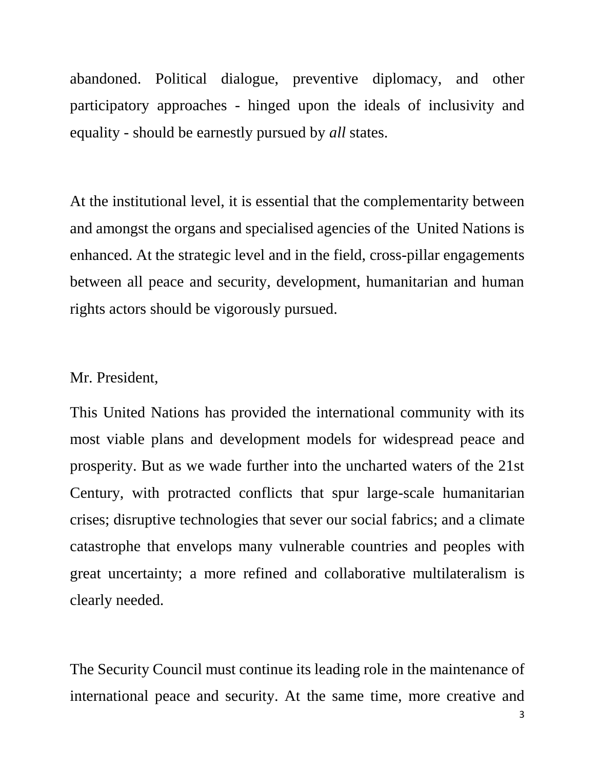abandoned. Political dialogue, preventive diplomacy, and other participatory approaches - hinged upon the ideals of inclusivity and equality - should be earnestly pursued by *all* states.

At the institutional level, it is essential that the complementarity between and amongst the organs and specialised agencies of the United Nations is enhanced. At the strategic level and in the field, cross-pillar engagements between all peace and security, development, humanitarian and human rights actors should be vigorously pursued.

#### Mr. President,

This United Nations has provided the international community with its most viable plans and development models for widespread peace and prosperity. But as we wade further into the uncharted waters of the 21st Century, with protracted conflicts that spur large-scale humanitarian crises; disruptive technologies that sever our social fabrics; and a climate catastrophe that envelops many vulnerable countries and peoples with great uncertainty; a more refined and collaborative multilateralism is clearly needed.

The Security Council must continue its leading role in the maintenance of international peace and security. At the same time, more creative and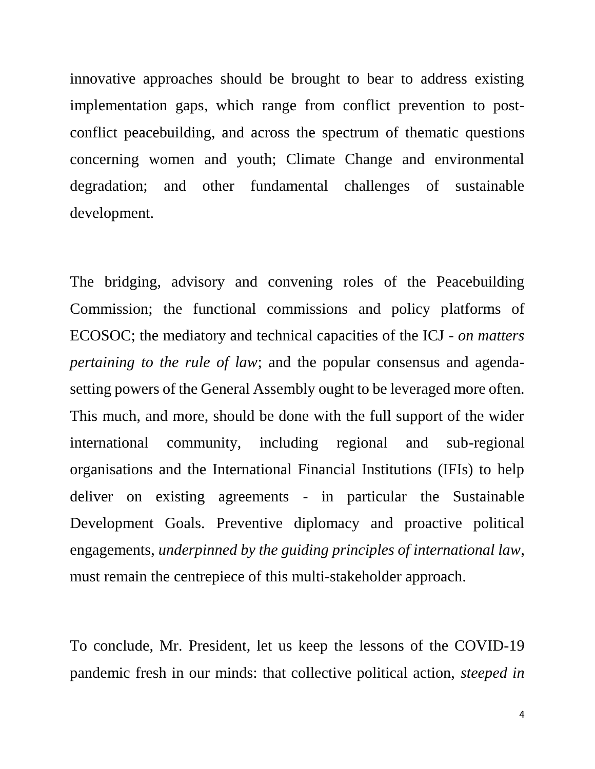innovative approaches should be brought to bear to address existing implementation gaps, which range from conflict prevention to postconflict peacebuilding, and across the spectrum of thematic questions concerning women and youth; Climate Change and environmental degradation; and other fundamental challenges of sustainable development.

The bridging, advisory and convening roles of the Peacebuilding Commission; the functional commissions and policy platforms of ECOSOC; the mediatory and technical capacities of the ICJ *- on matters pertaining to the rule of law*; and the popular consensus and agendasetting powers of the General Assembly ought to be leveraged more often. This much, and more, should be done with the full support of the wider international community, including regional and sub-regional organisations and the International Financial Institutions (IFIs) to help deliver on existing agreements - in particular the Sustainable Development Goals. Preventive diplomacy and proactive political engagements, *underpinned by the guiding principles of international law*, must remain the centrepiece of this multi-stakeholder approach.

To conclude, Mr. President, let us keep the lessons of the COVID-19 pandemic fresh in our minds: that collective political action, *steeped in*